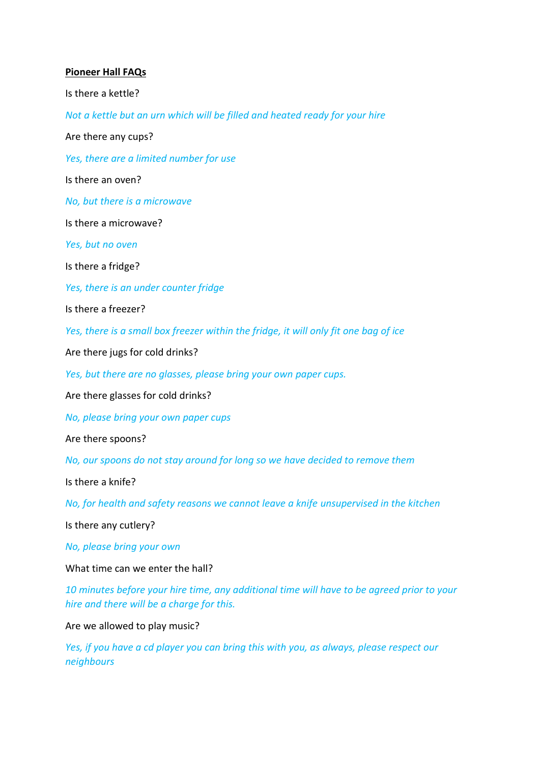#### **Pioneer Hall FAQs**

Is there a kettle?

*Not a kettle but an urn which will be filled and heated ready for your hire*

Are there any cups?

*Yes, there are a limited number for use*

Is there an oven?

*No, but there is a microwave*

Is there a microwave?

*Yes, but no oven*

Is there a fridge?

*Yes, there is an under counter fridge*

Is there a freezer?

*Yes, there is a small box freezer within the fridge, it will only fit one bag of ice*

Are there jugs for cold drinks?

*Yes, but there are no glasses, please bring your own paper cups.*

Are there glasses for cold drinks?

*No, please bring your own paper cups*

Are there spoons?

*No, our spoons do not stay around for long so we have decided to remove them*

Is there a knife?

*No, for health and safety reasons we cannot leave a knife unsupervised in the kitchen*

Is there any cutlery?

*No, please bring your own*

What time can we enter the hall?

*10 minutes before your hire time, any additional time will have to be agreed prior to your hire and there will be a charge for this.* 

Are we allowed to play music?

*Yes, if you have a cd player you can bring this with you, as always, please respect our neighbours*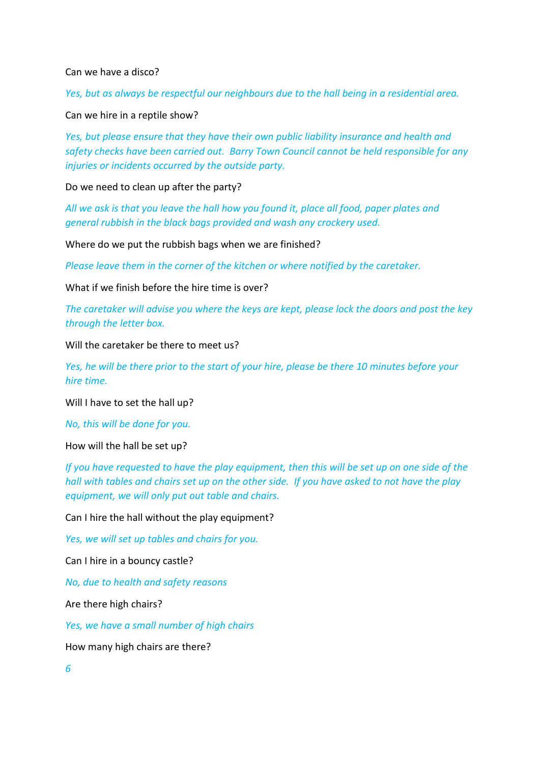Can we have a disco?

*Yes, but as always be respectful our neighbours due to the hall being in a residential area.* 

Can we hire in a reptile show?

*Yes, but please ensure that they have their own public liability insurance and health and safety checks have been carried out. Barry Town Council cannot be held responsible for any injuries or incidents occurred by the outside party.* 

Do we need to clean up after the party?

*All we ask is that you leave the hall how you found it, place all food, paper plates and general rubbish in the black bags provided and wash any crockery used.* 

Where do we put the rubbish bags when we are finished?

*Please leave them in the corner of the kitchen or where notified by the caretaker.* 

What if we finish hefore the hire time is over?

*The caretaker will advise you where the keys are kept, please lock the doors and post the key through the letter box.* 

Will the caretaker be there to meet us?

*Yes, he will be there prior to the start of your hire, please be there 10 minutes before your hire time.* 

Will I have to set the hall up?

*No, this will be done for you.* 

How will the hall be set up?

*If you have requested to have the play equipment, then this will be set up on one side of the hall with tables and chairs set up on the other side. If you have asked to not have the play equipment, we will only put out table and chairs.* 

Can I hire the hall without the play equipment?

*Yes, we will set up tables and chairs for you.* 

Can I hire in a bouncy castle?

*No, due to health and safety reasons*

Are there high chairs?

*Yes, we have a small number of high chairs*

How many high chairs are there?

*6*